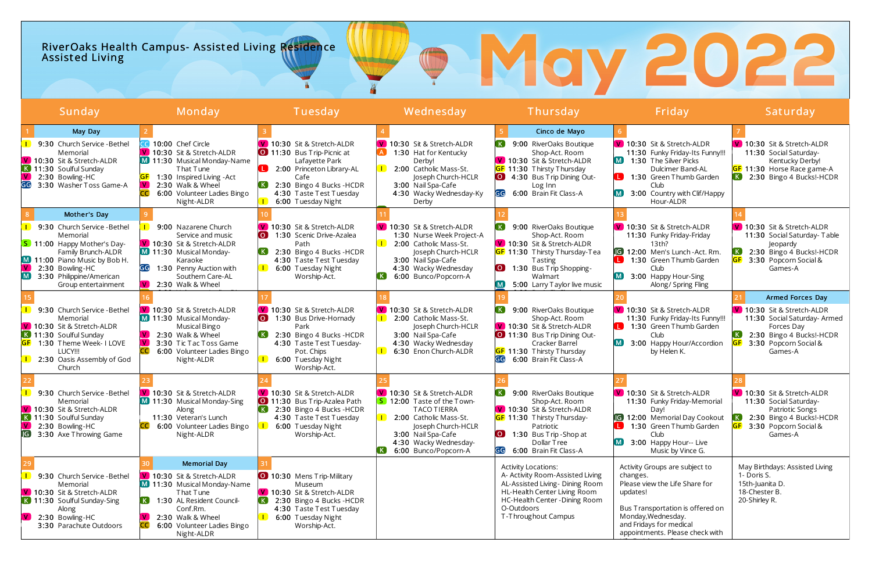# RiverOaks Health Campus- Assisted Living Residence Assist ed Living

| Sunday                                                                                                                                                                                                                    | Monday                                                                                                                                                                                                          | Tuesday                                                                                                                                                                                     | Wednesday                                                                                                                                                                                             | Thursday                                                                                                                                                                                                                                  | Friday                                                                                                                                                                                                           | Saturday                                                                                                                                                                                   |
|---------------------------------------------------------------------------------------------------------------------------------------------------------------------------------------------------------------------------|-----------------------------------------------------------------------------------------------------------------------------------------------------------------------------------------------------------------|---------------------------------------------------------------------------------------------------------------------------------------------------------------------------------------------|-------------------------------------------------------------------------------------------------------------------------------------------------------------------------------------------------------|-------------------------------------------------------------------------------------------------------------------------------------------------------------------------------------------------------------------------------------------|------------------------------------------------------------------------------------------------------------------------------------------------------------------------------------------------------------------|--------------------------------------------------------------------------------------------------------------------------------------------------------------------------------------------|
| May Day<br>9:30 Church Service - Bethel<br>Memorial<br>V 10:30 Sit & Stretch-ALDR<br>K 11:30 Soulful Sunday<br>$\mathbf{V}$<br>2:30 Bowling-HC<br>GG<br>3:30 Washer Toss Game-A                                           | CC 10:00 Chef Circle<br>V 10:30 Sit & Stretch-ALDR<br>M 11:30 Musical Monday-Name<br>That Tune<br>1:30 Inspired Living - Act<br>2:30 Walk & Wheel<br>I VII<br>6:00 Volunteer Ladies Bingo<br>Night-ALDR         | V 10:30 Sit & Stretch-ALDR<br>11:30 Bus Trip-Picnic at<br>Lafayette Park<br>2:00 Princeton Library-AL<br>Cafe<br>2:30 Bingo 4 Bucks - HCDR<br>4:30 Taste Test Tuesday<br>6:00 Tuesday Night | V 10:30 Sit & Stretch-ALDR<br>1:30 Hat for Kentucky<br>Derby!<br>2:00 Catholic Mass-St.<br>Joseph Church-HCLR<br>3:00 Nail Spa-Cafe<br>4:30 Wacky Wednesday-Ky<br>Derby                               | Cinco de Mayo<br>9:00 RiverOaks Boutique<br>Shop-Act. Room<br>V 10:30 Sit & Stretch-ALDR<br><b>GF</b> 11:30 Thirsty Thursday<br>4:30 Bus Trip Dining Out-<br>Log Inn<br>GG<br>6:00 Brain Fit Class-A                                      | V 10:30 Sit & Stretch-ALDR<br>11:30 Funky Friday-Its Funny!!!<br>1:30 The Silver Picks<br>Dulcimer Band-AL<br>1:30 Green Thumb Garden<br>Club<br>3:00 Country with Clif/Happy<br>Hour-ALDR                       | V 10:30 Sit & Stretch-ALDR<br>11:30 Social Saturday-<br>Kentucky Derby!<br><b>GF</b> 11:30 Horse Race game-A<br>2:30 Bingo 4 Bucks!-HCDR<br>$\left( K\right)$                              |
| Mother's Day<br>9:30 Church Service - Bethel<br>Memorial<br>S 11:00 Happy Mother's Day-<br>Family Brunch-ALDR<br>M 11:00 Piano Music by Bob H.<br>2:30 Bowling-HC<br>M<br>3:30 Philippine/American<br>Group entertainment | 9:00 Nazarene Church<br>Service and music<br>V 10:30 Sit & Stretch-ALDR<br>M 11:30 Musical Monday-<br>Karaoke<br>1:30 Penny Auction with<br>Southern Care-AL<br>$\sqrt{V}$ 2:30 Walk & Wheel                    | V 10:30 Sit & Stretch-ALDR<br><b>O</b><br>1:30 Scenic Drive-Azalea<br>Path<br>2:30 Bingo 4 Bucks - HCDR<br>4:30 Taste Test Tuesday<br>6:00 Tuesday Night<br>Worship-Act.                    | V 10:30 Sit & Stretch-ALDR<br>1:30 Nurse Week Project-A<br>2:00 Catholic Mass-St.<br>Joseph Church-HCLR<br>3:00 Nail Spa-Cafe<br>4:30 Wacky Wednesday<br>6:00 Bunco/Popcorn-A<br>K.                   | 9:00 RiverOaks Boutique<br>Shop-Act. Room<br>V 10:30 Sit & Stretch-ALDR<br><b>GF</b> 11:30 Thirsty Thursday-Tea<br><b>Tasting</b><br>1:30 Bus Trip Shopping-<br>.O J<br>Walmart<br>5:00 Larry Taylor live music<br>$\mathsf{M}_{\lambda}$ | V 10:30 Sit & Stretch-ALDR<br>11:30 Funky Friday-Friday<br>13th?<br><b>G</b> 12:00 Men's Lunch-Act. Rm.<br>1:30 Green Thumb Garden<br>Club<br>3:00 Happy Hour-Sing<br>M.<br>Along/ Spring Fling                  | V 10:30 Sit & Stretch ALDR<br>11:30 Social Saturday-Table<br>Jeopardy<br>2:30 Bingo 4 Bucks!-HCDR<br>3:30 Popcorn Social &<br>Games-A                                                      |
| 9:30 Church Service - Bethel<br>Memorial<br>V 10:30 Sit & Stretch-ALDR<br>K 11:30 Soulful Sunday<br>1:30 Theme Week- I LOVE<br>LUCY !!!<br>2:30 Oasis Assembly of God<br>Church                                           | V 10:30 Sit & Stretch-ALDR<br>M 11:30 Musical Monday-<br>Musical Bingo<br>2:30 Walk & Wheel<br>$\mathbf{V}$<br>$\mathbf{V}$<br>3:30 Tic Tac Toss Game<br><b>CC</b><br>6:00 Volunteer Ladies Bingo<br>Night-ALDR | V 10:30 Sit & Stretch-ALDR<br>1:30 Bus Drive-Hornady<br>Park<br>2:30 Bingo 4 Bucks - HCDR<br>4:30 Taste Test Tuesday-<br>Pot. Chips<br>6:00 Tuesday Night<br>Worship-Act.                   | V 10:30 Sit & Stretch-ALDR<br>2:00 Catholic Mass-St.<br>Joseph Church-HCLR<br>3:00 Nail Spa-Cafe<br>4:30 Wacky Wednesday<br>6:30 Enon Church-ALDR                                                     | 9:00 RiverOaks Boutique<br>Shop-Act. Room<br>V 10:30 Sit & Stretch-ALDR<br>11:30 Bus Trip Dining Out-<br>Cracker Barrel<br><b>GF</b> 11:30 Thirsty Thursday<br>GG<br>6:00 Brain Fit Class-A                                               | V 10:30 Sit & Stretch-ALDR<br>11:30 Funky Friday-Its Funny!!!<br>1:30 Green Thumb Garden<br>Club.<br>3:00 Happy Hour/Accordion<br>by Helen K.                                                                    | Armed Forces Day<br>V 10:30 Sit & Stretch-ALDR<br>11:30 Social Saturday- Armed<br>Forces Day<br>$\left( \mathbf{K}\right)$<br>2:30 Bingo 4 Bucks!-HCDR<br>3:30 Popcorn Social &<br>Games-A |
| 9:30 Church Service - Bethel<br>Memorial<br>V 10:30 Sit & Stretch-ALDR<br>K 11:30 Soulful Sunday<br>$\lfloor \mathsf{V} \rfloor$<br>2:30 Bowling-HC<br>3:30 Axe Throwing Game                                             | V 10:30 Sit & Stretch-ALDR<br>M 11:30 Musical Monday-Sing<br>Along<br>11:30 Veteran's Lunch<br>6:00 Volunteer Ladies Bingo<br>Night-ALDR                                                                        | V 10:30 Sit & Stretch-ALDR<br>0 11:30 Bus Trip-Azalea Path<br>2:30 Bingo 4 Bucks - HCDR<br>4:30 Taste Test Tuesday<br>6:00 Tuesday Night<br>Worship-Act.                                    | V 10:30 Sit & Stretch-ALDR<br>S 12:00 Taste of the Town-<br><b>TACO TIERRA</b><br>2:00 Catholic Mass-St.<br>Joseph Church-HCLR<br>3:00 Nail Spa-Cafe<br>4:30 Wacky Wednesday-<br>6:00 Bunco/Popcorn-A | 9:00 RiverOaks Boutique<br>Shop-Act. Room<br>V 10:30 Sit & Stretch-ALDR<br><b>GF</b> 11:30 Thirsty Thursday-<br>Patriotic<br>$\bullet$<br>1:30 Bus Trip-Shop at<br>Dollar Tree<br>GG<br>6:00 Brain Fit Class-A                            | V 10:30 Sit & Stretch-ALDR<br>11:30 Funky Friday-Memorial<br>Day!<br><b>G</b> 12:00 Memorial Day Cookout<br>1:30 Green Thumb Garden<br>Club<br>3:00 Happy Hour-- Live<br>M J<br>Music by Vince G.                | V 10:30 Sit & Stretch-ALDR<br>11:30 Social Saturday-<br>Patriotic Songs<br>2:30 Bingo 4 Bucks!- HCDR<br>3:30 Popcorn Social &<br>Games-A                                                   |
| 9:30 Church Service - Bethel<br>Memorial<br>V 10:30 Sit & Stretch-ALDR<br>K 11:30 Soulful Sunday-Sing<br>Along<br>2:30 Bowling-HC<br>3:30 Parachute Outdoors                                                              | <b>Memorial Day</b><br>V 10:30 Sit & Stretch-ALDR<br>M 11:30 Musical Monday-Name<br>That Tune<br>1:30 AL Resident Council-<br>Conf.Rm.<br>2:30 Walk & Wheel<br>6:00 Volunteer Ladies Bingo<br>Night-ALDR        | <b>O</b> 10:30 Mens Trip-Military<br>Museum<br>V 10:30 Sit & Stretch-ALDR<br>2:30 Bingo 4 Bucks - HCDR<br>4:30 Taste Test Tuesday<br>6:00 Tuesday Night<br>Worship-Act.                     |                                                                                                                                                                                                       | <b>Activity Locations:</b><br>A- Activity Room-Assisted Living<br>AL-Assisted Living- Dining Room<br>HL-Health Center Living Room<br>HC-Health Center - Dining Room<br>O-Outdoors<br>T-Throughout Campus                                  | Activity Groups are subject to<br>changes.<br>Please view the Life Share for<br>updates!<br>Bus Transportation is offered on<br>Monday, Wednesday.<br>and Fridays for medical<br>appointments. Please check with | May Birthdays: Assisted Living<br>1- Doris S.<br>15th-Juanita D.<br>18-Chester B.<br>20-Shirley R.                                                                                         |

# ® May 2022